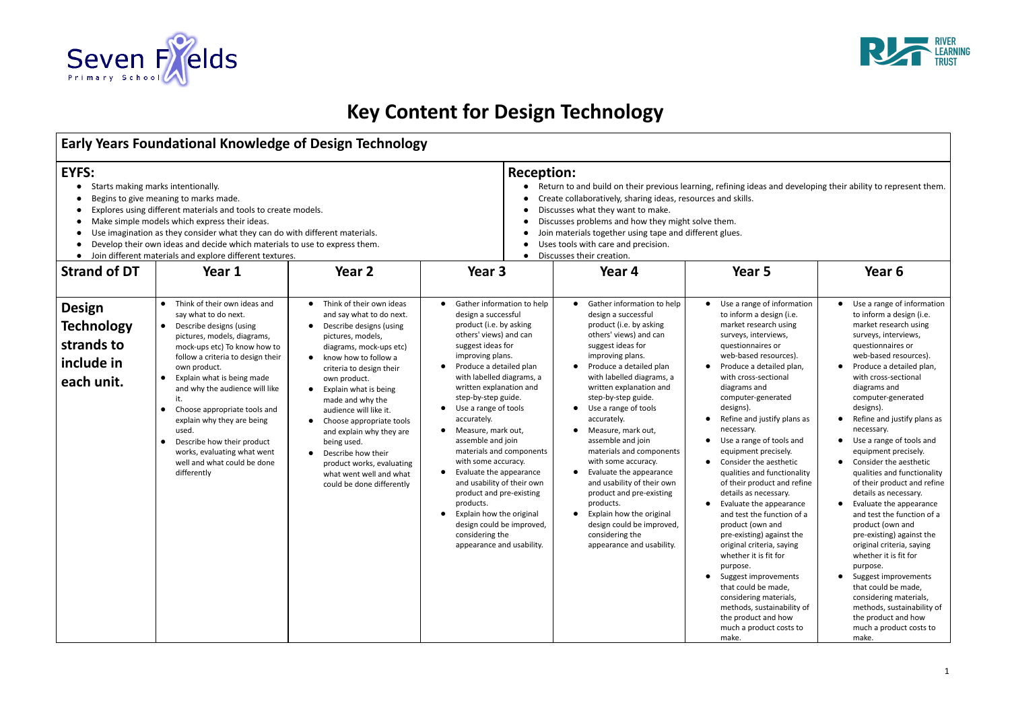

## **Key Content for Design Technology**

| <b>Early Years Foundational Knowledge of Design Technology</b>                                                                                                                                                                                                                                                                                                                                                                                                                                                                                   |                                                                                                                                                                                                                                                                                                                                                                                                                                                                                                                    |                                                                                                                                                                                                                                                                                                                                                                                                                                                                                                                               |                                                                                                                                                                                                                                                                                                                                                                                                                                                                                                                                                                                                                                                                            |                                                                                                                                                                                                                                                                                                                                                                                                                                                                                                                                                                                                                        |                                                                                                                                                                                                                                                                                                                                                                                                                                                                                                                                                                                                                                                                                                                                                                                                                                                                                                              |                                                                                                                                                                                                                                                                                                                                                                                                                                                                                                                                                                                                                                                                                                                                                                                                                              |  |  |
|--------------------------------------------------------------------------------------------------------------------------------------------------------------------------------------------------------------------------------------------------------------------------------------------------------------------------------------------------------------------------------------------------------------------------------------------------------------------------------------------------------------------------------------------------|--------------------------------------------------------------------------------------------------------------------------------------------------------------------------------------------------------------------------------------------------------------------------------------------------------------------------------------------------------------------------------------------------------------------------------------------------------------------------------------------------------------------|-------------------------------------------------------------------------------------------------------------------------------------------------------------------------------------------------------------------------------------------------------------------------------------------------------------------------------------------------------------------------------------------------------------------------------------------------------------------------------------------------------------------------------|----------------------------------------------------------------------------------------------------------------------------------------------------------------------------------------------------------------------------------------------------------------------------------------------------------------------------------------------------------------------------------------------------------------------------------------------------------------------------------------------------------------------------------------------------------------------------------------------------------------------------------------------------------------------------|------------------------------------------------------------------------------------------------------------------------------------------------------------------------------------------------------------------------------------------------------------------------------------------------------------------------------------------------------------------------------------------------------------------------------------------------------------------------------------------------------------------------------------------------------------------------------------------------------------------------|--------------------------------------------------------------------------------------------------------------------------------------------------------------------------------------------------------------------------------------------------------------------------------------------------------------------------------------------------------------------------------------------------------------------------------------------------------------------------------------------------------------------------------------------------------------------------------------------------------------------------------------------------------------------------------------------------------------------------------------------------------------------------------------------------------------------------------------------------------------------------------------------------------------|------------------------------------------------------------------------------------------------------------------------------------------------------------------------------------------------------------------------------------------------------------------------------------------------------------------------------------------------------------------------------------------------------------------------------------------------------------------------------------------------------------------------------------------------------------------------------------------------------------------------------------------------------------------------------------------------------------------------------------------------------------------------------------------------------------------------------|--|--|
| <b>EYFS:</b><br>Starts making marks intentionally.<br>$\bullet$<br>Begins to give meaning to marks made.<br>$\bullet$<br>Explores using different materials and tools to create models.<br>Make simple models which express their ideas.<br>Use imagination as they consider what they can do with different materials.<br>Develop their own ideas and decide which materials to use to express them.<br>$\bullet$<br>Join different materials and explore different textures.<br>$\bullet$<br><b>Strand of DT</b><br>Year 2<br>Year 3<br>Year 1 |                                                                                                                                                                                                                                                                                                                                                                                                                                                                                                                    |                                                                                                                                                                                                                                                                                                                                                                                                                                                                                                                               |                                                                                                                                                                                                                                                                                                                                                                                                                                                                                                                                                                                                                                                                            | <b>Reception:</b><br>Return to and build on their previous learning, refining ideas and developing their ability to represent them.<br>Create collaboratively, sharing ideas, resources and skills.<br>Discusses what they want to make.<br>Discusses problems and how they might solve them.<br>Join materials together using tape and different glues.<br>Uses tools with care and precision.<br>Discusses their creation.<br>$\bullet$<br>Year 6<br>Year 5<br>Year 4                                                                                                                                                |                                                                                                                                                                                                                                                                                                                                                                                                                                                                                                                                                                                                                                                                                                                                                                                                                                                                                                              |                                                                                                                                                                                                                                                                                                                                                                                                                                                                                                                                                                                                                                                                                                                                                                                                                              |  |  |
| <b>Design</b><br><b>Technology</b><br>strands to<br>include in<br>each unit.                                                                                                                                                                                                                                                                                                                                                                                                                                                                     | • Think of their own ideas and<br>say what to do next.<br>Describe designs (using<br>$\bullet$<br>pictures, models, diagrams,<br>mock-ups etc) To know how to<br>follow a criteria to design their<br>own product.<br>Explain what is being made<br>$\bullet$<br>and why the audience will like<br>it.<br>Choose appropriate tools and<br>$\bullet$<br>explain why they are being<br>used.<br>Describe how their product<br>$\bullet$<br>works, evaluating what went<br>well and what could be done<br>differently | Think of their own ideas<br>and say what to do next.<br>Describe designs (using<br>$\bullet$<br>pictures, models,<br>diagrams, mock-ups etc)<br>know how to follow a<br>$\bullet$<br>criteria to design their<br>own product.<br>Explain what is being<br>$\bullet$<br>made and why the<br>audience will like it.<br>Choose appropriate tools<br>$\bullet$<br>and explain why they are<br>being used.<br>Describe how their<br>$\bullet$<br>product works, evaluating<br>what went well and what<br>could be done differently | Gather information to help<br>$\bullet$<br>design a successful<br>product (i.e. by asking<br>others' views) and can<br>suggest ideas for<br>improving plans.<br>Produce a detailed plan<br>$\bullet$<br>with labelled diagrams, a<br>written explanation and<br>step-by-step guide.<br>Use a range of tools<br>$\bullet$<br>accurately.<br>Measure, mark out,<br>$\bullet$<br>assemble and join<br>materials and components<br>with some accuracy.<br>Evaluate the appearance<br>$\bullet$<br>and usability of their own<br>product and pre-existing<br>products.<br>Explain how the original<br>design could be improved,<br>considering the<br>appearance and usability. | Gather information to help<br>design a successful<br>product (i.e. by asking<br>others' views) and can<br>suggest ideas for<br>improving plans.<br>Produce a detailed plan<br>$\bullet$<br>with labelled diagrams, a<br>written explanation and<br>step-by-step guide.<br>Use a range of tools<br>accurately.<br>Measure, mark out,<br>assemble and join<br>materials and components<br>with some accuracy.<br>Evaluate the appearance<br>and usability of their own<br>product and pre-existing<br>products.<br>Explain how the original<br>design could be improved,<br>considering the<br>appearance and usability. | • Use a range of information<br>to inform a design (i.e.<br>market research using<br>surveys, interviews,<br>questionnaires or<br>web-based resources).<br>Produce a detailed plan,<br>$\bullet$<br>with cross-sectional<br>diagrams and<br>computer-generated<br>designs).<br>Refine and justify plans as<br>$\bullet$<br>necessary.<br>Use a range of tools and<br>$\bullet$<br>equipment precisely.<br>Consider the aesthetic<br>$\bullet$<br>qualities and functionality<br>of their product and refine<br>details as necessary.<br>Evaluate the appearance<br>$\bullet$<br>and test the function of a<br>product (own and<br>pre-existing) against the<br>original criteria, saying<br>whether it is fit for<br>purpose.<br>Suggest improvements<br>$\bullet$<br>that could be made,<br>considering materials,<br>methods, sustainability of<br>the product and how<br>much a product costs to<br>make. | Use a range of information<br>to inform a design (i.e.<br>market research using<br>surveys, interviews,<br>questionnaires or<br>web-based resources).<br>Produce a detailed plan,<br>with cross-sectional<br>diagrams and<br>computer-generated<br>designs).<br>Refine and justify plans as<br>necessary.<br>Use a range of tools and<br>equipment precisely.<br>Consider the aesthetic<br>qualities and functionality<br>of their product and refine<br>details as necessary.<br>Evaluate the appearance<br>and test the function of a<br>product (own and<br>pre-existing) against the<br>original criteria, saying<br>whether it is fit for<br>purpose.<br>Suggest improvements<br>that could be made,<br>considering materials,<br>methods, sustainability of<br>the product and how<br>much a product costs to<br>make. |  |  |

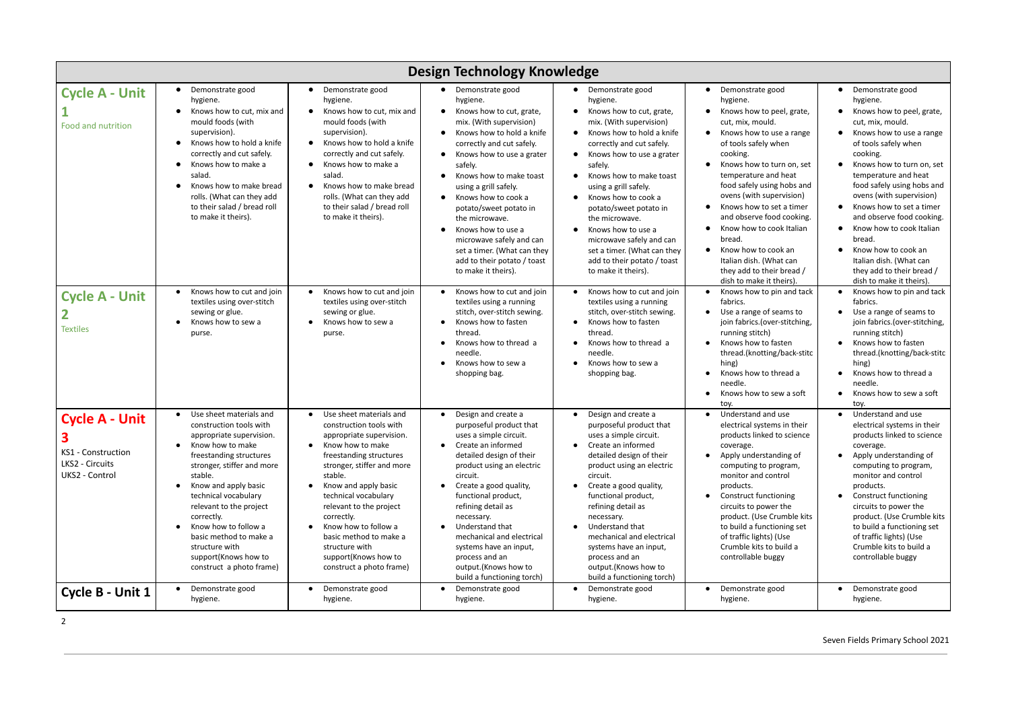| Design Technology Knowledge                                                           |                                                                                                                                                                                                                                                                                                                                                                                                                   |                                                                                                                                                                                                                                                                                                                                                                                                      |                                                                                                                                                                                                                                                                                                                                                                                                                                                                                                                      |                                                                                                                                                                                                                                                                                                                                                                                                                                                                               |                                                                                                                                                                                                                                                                                                                                                                                                                                                                                                   |                                                                                                                                                                                                                                                                                                                                                                                                                                                                       |
|---------------------------------------------------------------------------------------|-------------------------------------------------------------------------------------------------------------------------------------------------------------------------------------------------------------------------------------------------------------------------------------------------------------------------------------------------------------------------------------------------------------------|------------------------------------------------------------------------------------------------------------------------------------------------------------------------------------------------------------------------------------------------------------------------------------------------------------------------------------------------------------------------------------------------------|----------------------------------------------------------------------------------------------------------------------------------------------------------------------------------------------------------------------------------------------------------------------------------------------------------------------------------------------------------------------------------------------------------------------------------------------------------------------------------------------------------------------|-------------------------------------------------------------------------------------------------------------------------------------------------------------------------------------------------------------------------------------------------------------------------------------------------------------------------------------------------------------------------------------------------------------------------------------------------------------------------------|---------------------------------------------------------------------------------------------------------------------------------------------------------------------------------------------------------------------------------------------------------------------------------------------------------------------------------------------------------------------------------------------------------------------------------------------------------------------------------------------------|-----------------------------------------------------------------------------------------------------------------------------------------------------------------------------------------------------------------------------------------------------------------------------------------------------------------------------------------------------------------------------------------------------------------------------------------------------------------------|
| <b>Cycle A - Unit</b><br><b>Food and nutrition</b>                                    | Demonstrate good<br>$\bullet$<br>hygiene.<br>Knows how to cut, mix and<br>mould foods (with<br>supervision).<br>Knows how to hold a knife<br>correctly and cut safely.<br>Knows how to make a<br>$\bullet$<br>salad.<br>Knows how to make bread<br>rolls. (What can they add<br>to their salad / bread roll<br>to make it theirs).                                                                                | Demonstrate good<br>hygiene.<br>Knows how to cut, mix and<br>mould foods (with<br>supervision).<br>Knows how to hold a knife<br>$\bullet$<br>correctly and cut safely.<br>Knows how to make a<br>salad.<br>Knows how to make bread<br>rolls. (What can they add<br>to their salad / bread roll<br>to make it theirs).                                                                                | Demonstrate good<br>$\bullet$<br>hygiene.<br>Knows how to cut, grate,<br>$\bullet$<br>mix. (With supervision)<br>Knows how to hold a knife<br>correctly and cut safely.<br>Knows how to use a grater<br>safely.<br>Knows how to make toast<br>$\bullet$<br>using a grill safely.<br>Knows how to cook a<br>$\bullet$<br>potato/sweet potato in<br>the microwave.<br>Knows how to use a<br>$\bullet$<br>microwave safely and can<br>set a timer. (What can they<br>add to their potato / toast<br>to make it theirs). | Demonstrate good<br>hygiene.<br>Knows how to cut, grate,<br>mix. (With supervision)<br>Knows how to hold a knife<br>$\bullet$<br>correctly and cut safely.<br>Knows how to use a grater<br>safely.<br>Knows how to make toast<br>using a grill safely.<br>Knows how to cook a<br>potato/sweet potato in<br>the microwave.<br>Knows how to use a<br>$\bullet$<br>microwave safely and can<br>set a timer. (What can they<br>add to their potato / toast<br>to make it theirs). | • Demonstrate good<br>hygiene.<br>Knows how to peel, grate,<br>cut, mix, mould.<br>Knows how to use a range<br>$\bullet$<br>of tools safely when<br>cooking.<br>Knows how to turn on, set<br>temperature and heat<br>food safely using hobs and<br>ovens (with supervision)<br>Knows how to set a timer<br>and observe food cooking.<br>Know how to cook Italian<br>bread.<br>Know how to cook an<br>$\bullet$<br>Italian dish. (What can<br>they add to their bread /<br>dish to make it theirs) | Demonstrate good<br>hygiene.<br>Knows how to peel, grate,<br>cut, mix, mould.<br>Knows how to use a range<br>of tools safely when<br>cooking.<br>Knows how to turn on, set<br>temperature and heat<br>food safely using hobs and<br>ovens (with supervision)<br>Knows how to set a timer<br>and observe food cooking.<br>Know how to cook Italian<br>bread.<br>Know how to cook an<br>Italian dish. (What can<br>they add to their bread /<br>dish to make it theirs) |
| <b>Cycle A - Unit</b><br><b>Textiles</b>                                              | Knows how to cut and join<br>$\bullet$<br>textiles using over-stitch<br>sewing or glue.<br>Knows how to sew a<br>purse.                                                                                                                                                                                                                                                                                           | Knows how to cut and join<br>$\bullet$<br>textiles using over-stitch<br>sewing or glue.<br>Knows how to sew a<br>purse.                                                                                                                                                                                                                                                                              | Knows how to cut and join<br>textiles using a running<br>stitch, over-stitch sewing.<br>Knows how to fasten<br>thread.<br>Knows how to thread a<br>needle.<br>Knows how to sew a<br>shopping bag.                                                                                                                                                                                                                                                                                                                    | Knows how to cut and join<br>textiles using a running<br>stitch, over-stitch sewing.<br>Knows how to fasten<br>thread.<br>Knows how to thread a<br>needle.<br>Knows how to sew a<br>shopping bag.                                                                                                                                                                                                                                                                             | Knows how to pin and tack<br>fabrics.<br>Use a range of seams to<br>$\bullet$<br>join fabrics.(over-stitching,<br>running stitch)<br>Knows how to fasten<br>thread.(knotting/back-stitc<br>hing)<br>Knows how to thread a<br>needle.<br>Knows how to sew a soft<br>toy.                                                                                                                                                                                                                           | Knows how to pin and tack<br>fabrics.<br>Use a range of seams to<br>join fabrics.(over-stitching,<br>running stitch)<br>Knows how to fasten<br>thread.(knotting/back-stitc<br>hing)<br>Knows how to thread a<br>needle.<br>Knows how to sew a soft<br>toy.                                                                                                                                                                                                            |
| <b>Cycle A - Unit</b><br>ခ<br>KS1 - Construction<br>LKS2 - Circuits<br>UKS2 - Control | Use sheet materials and<br>$\bullet$<br>construction tools with<br>appropriate supervision.<br>Know how to make<br>freestanding structures<br>stronger, stiffer and more<br>stable.<br>Know and apply basic<br>$\bullet$<br>technical vocabulary<br>relevant to the project<br>correctly.<br>Know how to follow a<br>basic method to make a<br>structure with<br>support(Knows how to<br>construct a photo frame) | Use sheet materials and<br>construction tools with<br>appropriate supervision.<br>Know how to make<br>freestanding structures<br>stronger, stiffer and more<br>stable.<br>Know and apply basic<br>$\bullet$<br>technical vocabulary<br>relevant to the project<br>correctly.<br>Know how to follow a<br>basic method to make a<br>structure with<br>support(Knows how to<br>construct a photo frame) | Design and create a<br>$\bullet$<br>purposeful product that<br>uses a simple circuit.<br>Create an informed<br>detailed design of their<br>product using an electric<br>circuit.<br>Create a good quality,<br>functional product,<br>refining detail as<br>necessary.<br>Understand that<br>mechanical and electrical<br>systems have an input,<br>process and an<br>output.(Knows how to<br>build a functioning torch)                                                                                              | Design and create a<br>$\bullet$<br>purposeful product that<br>uses a simple circuit.<br>Create an informed<br>detailed design of their<br>product using an electric<br>circuit.<br>Create a good quality,<br>functional product,<br>refining detail as<br>necessary.<br>Understand that<br>mechanical and electrical<br>systems have an input,<br>process and an<br>output.(Knows how to<br>build a functioning torch)                                                       | Understand and use<br>$\bullet$<br>electrical systems in their<br>products linked to science<br>coverage.<br>• Apply understanding of<br>computing to program,<br>monitor and control<br>products.<br><b>Construct functioning</b><br>$\bullet$<br>circuits to power the<br>product. (Use Crumble kits<br>to build a functioning set<br>of traffic lights) (Use<br>Crumble kits to build a<br>controllable buggy                                                                                  | Understand and use<br>electrical systems in their<br>products linked to science<br>coverage.<br>Apply understanding of<br>computing to program,<br>monitor and control<br>products.<br><b>Construct functioning</b><br>circuits to power the<br>product. (Use Crumble kits<br>to build a functioning set<br>of traffic lights) (Use<br>Crumble kits to build a<br>controllable buggy                                                                                  |
| Cycle B - Unit 1                                                                      | Demonstrate good<br>$\bullet$<br>hygiene.                                                                                                                                                                                                                                                                                                                                                                         | Demonstrate good<br>hygiene.                                                                                                                                                                                                                                                                                                                                                                         | Demonstrate good<br>hygiene.                                                                                                                                                                                                                                                                                                                                                                                                                                                                                         | Demonstrate good<br>hygiene.                                                                                                                                                                                                                                                                                                                                                                                                                                                  | Demonstrate good<br>$\bullet$<br>hygiene.                                                                                                                                                                                                                                                                                                                                                                                                                                                         | Demonstrate good<br>hygiene.                                                                                                                                                                                                                                                                                                                                                                                                                                          |

2

## Seven Fields Primary School 2021